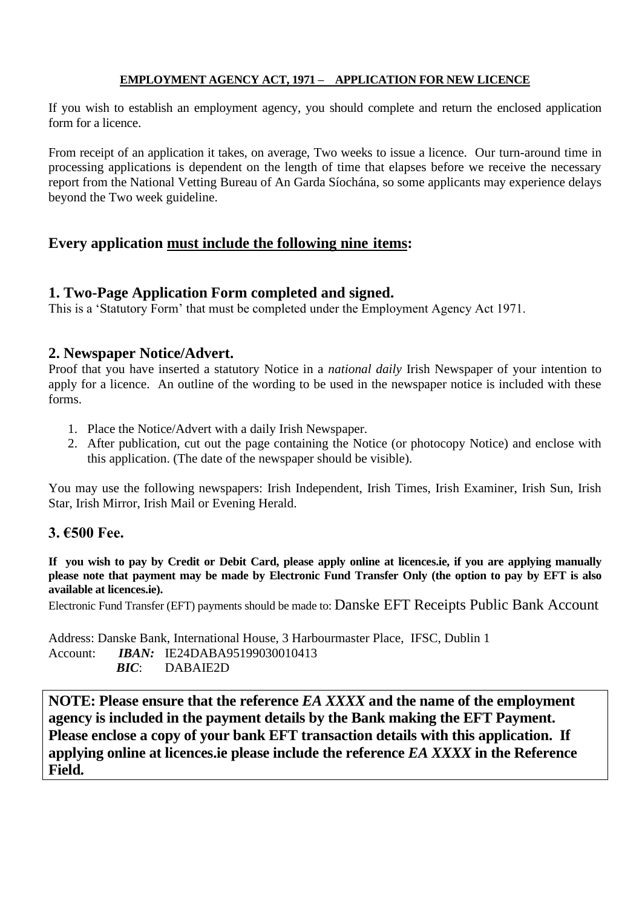### **EMPLOYMENT AGENCY ACT, 1971 – APPLICATION FOR NEW LICENCE**

If you wish to establish an employment agency, you should complete and return the enclosed application form for a licence.

From receipt of an application it takes, on average, Two weeks to issue a licence. Our turn-around time in processing applications is dependent on the length of time that elapses before we receive the necessary report from the National Vetting Bureau of An Garda Síochána, so some applicants may experience delays beyond the Two week guideline.

# **Every application must include the following nine items:**

### **1. Two-Page Application Form completed and signed.**

This is a 'Statutory Form' that must be completed under the Employment Agency Act 1971.

### **2. Newspaper Notice/Advert.**

Proof that you have inserted a statutory Notice in a *national daily* Irish Newspaper of your intention to apply for a licence. An outline of the wording to be used in the newspaper notice is included with these forms.

- 1. Place the Notice/Advert with a daily Irish Newspaper.
- 2. After publication, cut out the page containing the Notice (or photocopy Notice) and enclose with this application. (The date of the newspaper should be visible).

You may use the following newspapers: Irish Independent, Irish Times, Irish Examiner, Irish Sun, Irish Star, Irish Mirror, Irish Mail or Evening Herald.

### **3. €500 Fee.**

**If you wish to pay by Credit or Debit Card, please apply online at licences.ie, if you are applying manually please note that payment may be made by Electronic Fund Transfer Only (the option to pay by EFT is also available at licences.ie).**

Electronic Fund Transfer (EFT) payments should be made to: Danske EFT Receipts Public Bank Account

Address: Danske Bank, International House, 3 Harbourmaster Place, IFSC, Dublin 1 Account: *IBAN:* IE24DABA95199030010413  *BIC*: DABAIE2D

**NOTE: Please ensure that the reference** *EA XXXX* **and the name of the employment agency is included in the payment details by the Bank making the EFT Payment. Please enclose a copy of your bank EFT transaction details with this application. If applying online at licences.ie please include the reference** *EA XXXX* **in the Reference Field.**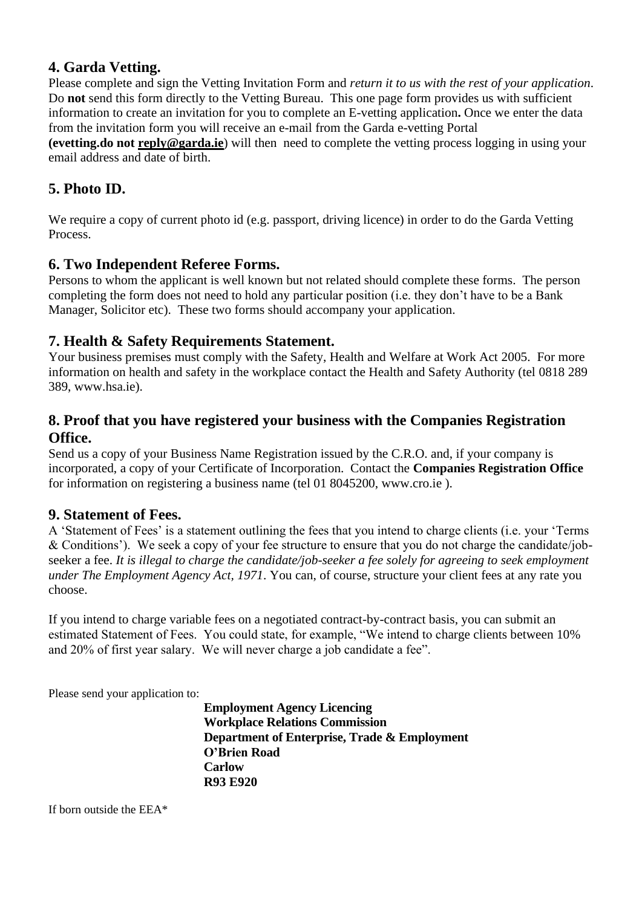# **4. Garda Vetting.**

Please complete and sign the Vetting Invitation Form and *return it to us with the rest of your application*. Do **not** send this form directly to the Vetting Bureau. This one page form provides us with sufficient information to create an invitation for you to complete an E-vetting application**.** Once we enter the data from the invitation form you will receive an e-mail from the Garda e-vetting Portal **(evetting.do not [reply@garda.ie](mailto:reply@garda.ie)**) will then need to complete the vetting process logging in using your

email address and date of birth.

# **5. Photo ID.**

We require a copy of current photo id (e.g. passport, driving licence) in order to do the Garda Vetting Process.

### **6. Two Independent Referee Forms.**

Persons to whom the applicant is well known but not related should complete these forms. The person completing the form does not need to hold any particular position (i.e. they don't have to be a Bank Manager, Solicitor etc). These two forms should accompany your application.

### **7. Health & Safety Requirements Statement.**

Your business premises must comply with the Safety, Health and Welfare at Work Act 2005. For more information on health and safety in the workplace contact the Health and Safety Authority (tel 0818 289 389, www.hsa.ie).

# **8. Proof that you have registered your business with the Companies Registration Office.**

Send us a copy of your Business Name Registration issued by the C.R.O. and, if your company is incorporated, a copy of your Certificate of Incorporation. Contact the **Companies Registration Office** for information on registering a business name (tel 01 8045200, www.cro.ie ).

### **9. Statement of Fees.**

A 'Statement of Fees' is a statement outlining the fees that you intend to charge clients (i.e. your 'Terms & Conditions'). We seek a copy of your fee structure to ensure that you do not charge the candidate/jobseeker a fee. *It is illegal to charge the candidate/job-seeker a fee solely for agreeing to seek employment under The Employment Agency Act, 1971*. You can, of course, structure your client fees at any rate you choose.

If you intend to charge variable fees on a negotiated contract-by-contract basis, you can submit an estimated Statement of Fees. You could state, for example, "We intend to charge clients between 10% and 20% of first year salary. We will never charge a job candidate a fee".

Please send your application to:

**Employment Agency Licencing Workplace Relations Commission Department of Enterprise, Trade & Employment O'Brien Road Carlow R93 E920**

If born outside the EEA\*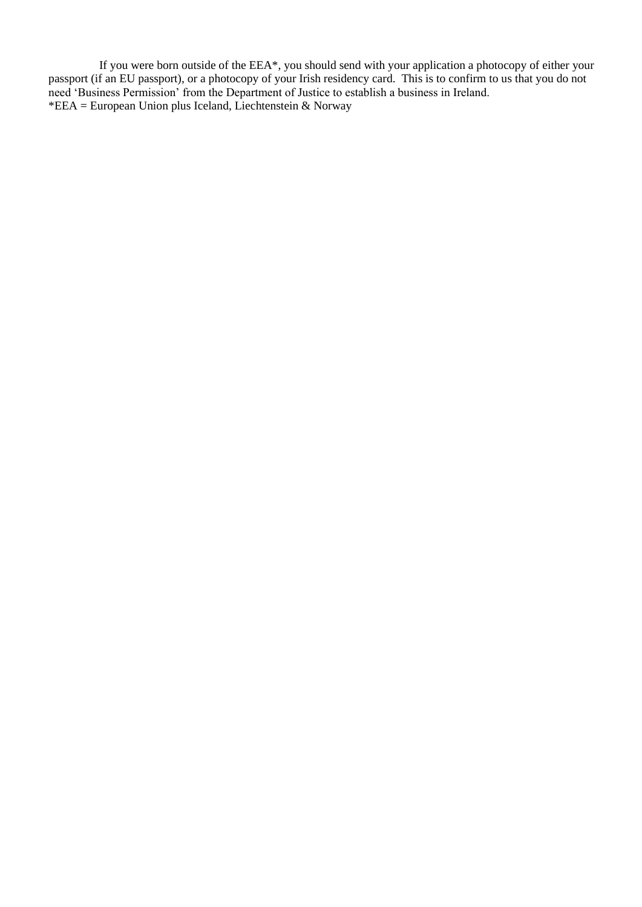If you were born outside of the EEA\*, you should send with your application a photocopy of either your passport (if an EU passport), or a photocopy of your Irish residency card. This is to confirm to us that you do not need 'Business Permission' from the Department of Justice to establish a business in Ireland. \*EEA = European Union plus Iceland, Liechtenstein & Norway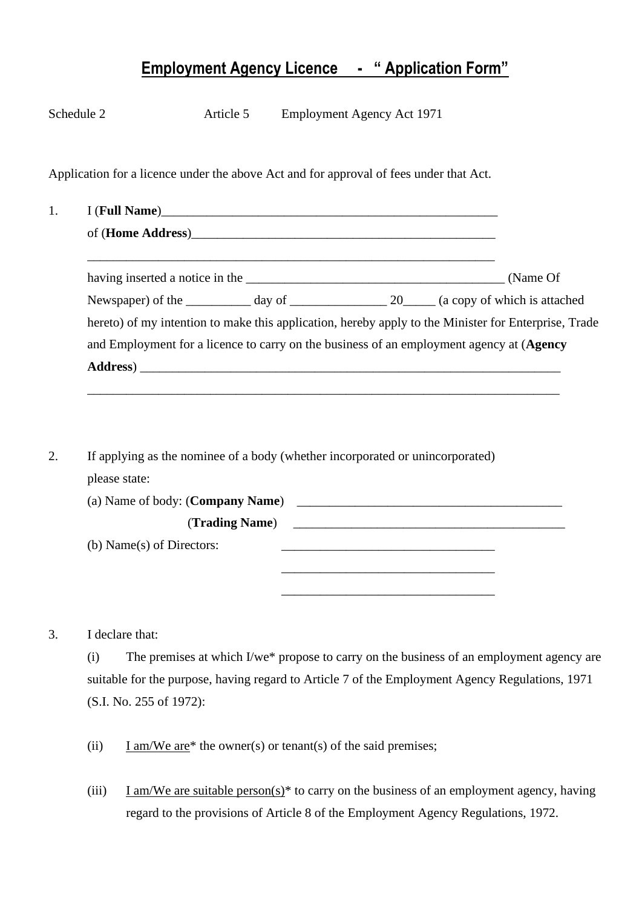# **Employment Agency Licence - " Application Form"**

| 1. | Application for a licence under the above Act and for approval of fees under that Act.               |  |  |  |          |  |  |  |  |  |  |  |
|----|------------------------------------------------------------------------------------------------------|--|--|--|----------|--|--|--|--|--|--|--|
|    |                                                                                                      |  |  |  |          |  |  |  |  |  |  |  |
|    |                                                                                                      |  |  |  |          |  |  |  |  |  |  |  |
|    |                                                                                                      |  |  |  |          |  |  |  |  |  |  |  |
|    |                                                                                                      |  |  |  | (Name Of |  |  |  |  |  |  |  |
|    | Newspaper) of the ____________ day of _______________________ 20______ (a copy of which is attached  |  |  |  |          |  |  |  |  |  |  |  |
|    | hereto) of my intention to make this application, hereby apply to the Minister for Enterprise, Trade |  |  |  |          |  |  |  |  |  |  |  |
|    | and Employment for a licence to carry on the business of an employment agency at (Agency             |  |  |  |          |  |  |  |  |  |  |  |
|    |                                                                                                      |  |  |  |          |  |  |  |  |  |  |  |
|    |                                                                                                      |  |  |  |          |  |  |  |  |  |  |  |
|    |                                                                                                      |  |  |  |          |  |  |  |  |  |  |  |
|    |                                                                                                      |  |  |  |          |  |  |  |  |  |  |  |
| 2. | If applying as the nominee of a body (whether incorporated or unincorporated)                        |  |  |  |          |  |  |  |  |  |  |  |
|    | please state:                                                                                        |  |  |  |          |  |  |  |  |  |  |  |
|    |                                                                                                      |  |  |  |          |  |  |  |  |  |  |  |
|    |                                                                                                      |  |  |  |          |  |  |  |  |  |  |  |
|    | (b) Name(s) of Directors:                                                                            |  |  |  |          |  |  |  |  |  |  |  |
|    |                                                                                                      |  |  |  |          |  |  |  |  |  |  |  |

3. I declare that:

(i) The premises at which I/we\* propose to carry on the business of an employment agency are suitable for the purpose, having regard to Article 7 of the Employment Agency Regulations, 1971 (S.I. No. 255 of 1972):

- (ii) I am/We are \* the owner(s) or tenant(s) of the said premises;
- (iii) I am/We are suitable person(s)\* to carry on the business of an employment agency, having regard to the provisions of Article 8 of the Employment Agency Regulations, 1972.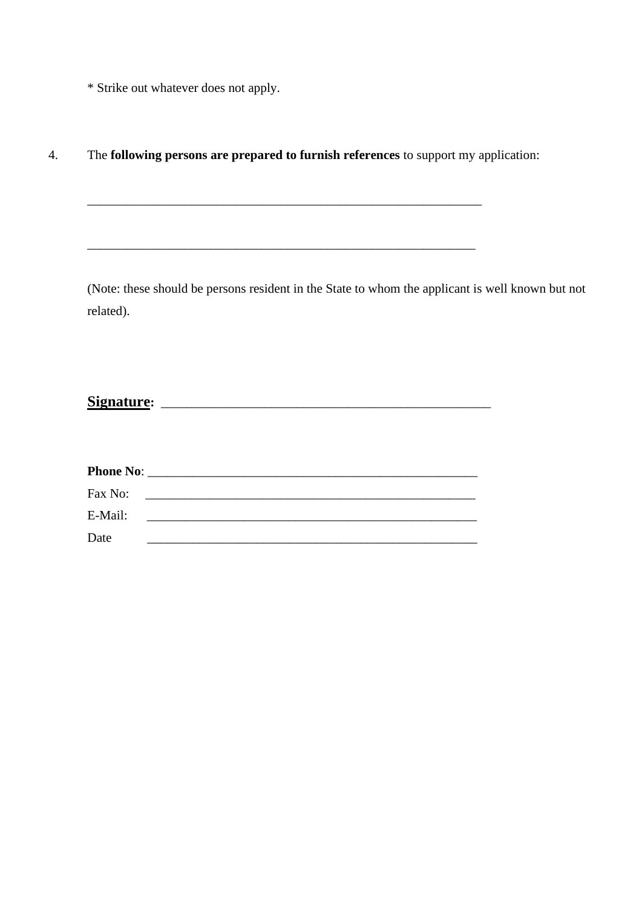\* Strike out whatever does not apply.

## 4. The **following persons are prepared to furnish references** to support my application:

\_\_\_\_\_\_\_\_\_\_\_\_\_\_\_\_\_\_\_\_\_\_\_\_\_\_\_\_\_\_\_\_\_\_\_\_\_\_\_\_\_\_\_\_\_\_\_\_\_\_\_\_\_\_\_\_\_\_\_\_\_

(Note: these should be persons resident in the State to whom the applicant is well known but not related).

**Signature:** \_\_\_\_\_\_\_\_\_\_\_\_\_\_\_\_\_\_\_\_\_\_\_\_\_\_\_\_\_\_\_\_\_\_\_\_\_\_\_\_\_\_\_\_\_\_\_\_\_\_\_

| Fax No: |  |
|---------|--|
| E-Mail: |  |
| Date    |  |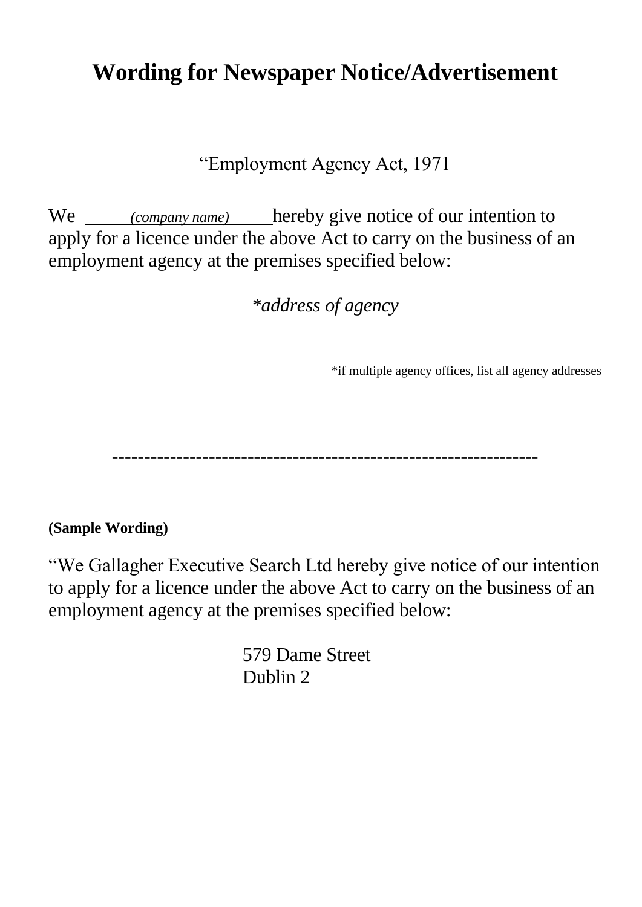# **Wording for Newspaper Notice/Advertisement**

"Employment Agency Act, 1971

We *(company name)* hereby give notice of our intention to apply for a licence under the above Act to carry on the business of an employment agency at the premises specified below:

*\*address of agency*

\*if multiple agency offices, list all agency addresses

**------------------------------------------------------------------**

**(Sample Wording)**

"We Gallagher Executive Search Ltd hereby give notice of our intention to apply for a licence under the above Act to carry on the business of an employment agency at the premises specified below:

> 579 Dame Street Dublin 2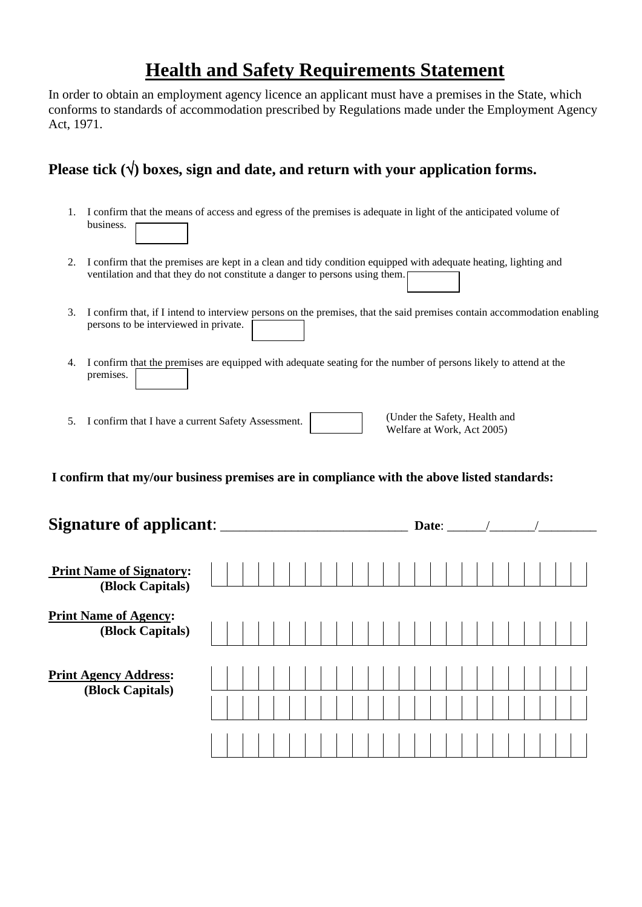# **Health and Safety Requirements Statement**

In order to obtain an employment agency licence an applicant must have a premises in the State, which conforms to standards of accommodation prescribed by Regulations made under the Employment Agency Act, 1971.

# **Please tick**  $(\sqrt{})$  boxes, sign and date, and return with your application forms.

- 1. I confirm that the means of access and egress of the premises is adequate in light of the anticipated volume of business.
- 2. I confirm that the premises are kept in a clean and tidy condition equipped with adequate heating, lighting and ventilation and that they do not constitute a danger to persons using them.
- 3. I confirm that, if I intend to interview persons on the premises, that the said premises contain accommodation enabling persons to be interviewed in private.
- 4. I confirm that the premises are equipped with adequate seating for the number of persons likely to attend at the premises.
- 5. I confirm that I have a current Safety Assessment.

(Under the Safety, Health and Welfare at Work, Act 2005)

### **I confirm that my/our business premises are in compliance with the above listed standards:**

| <b>Signature of applicant:</b>                      |  |  |  |  |  |  |  | Date: |  |  |  |  |  |
|-----------------------------------------------------|--|--|--|--|--|--|--|-------|--|--|--|--|--|
| <b>Print Name of Signatory:</b><br>(Block Capitals) |  |  |  |  |  |  |  |       |  |  |  |  |  |
| <b>Print Name of Agency:</b><br>(Block Capitals)    |  |  |  |  |  |  |  |       |  |  |  |  |  |
| <b>Print Agency Address:</b><br>(Block Capitals)    |  |  |  |  |  |  |  |       |  |  |  |  |  |
|                                                     |  |  |  |  |  |  |  |       |  |  |  |  |  |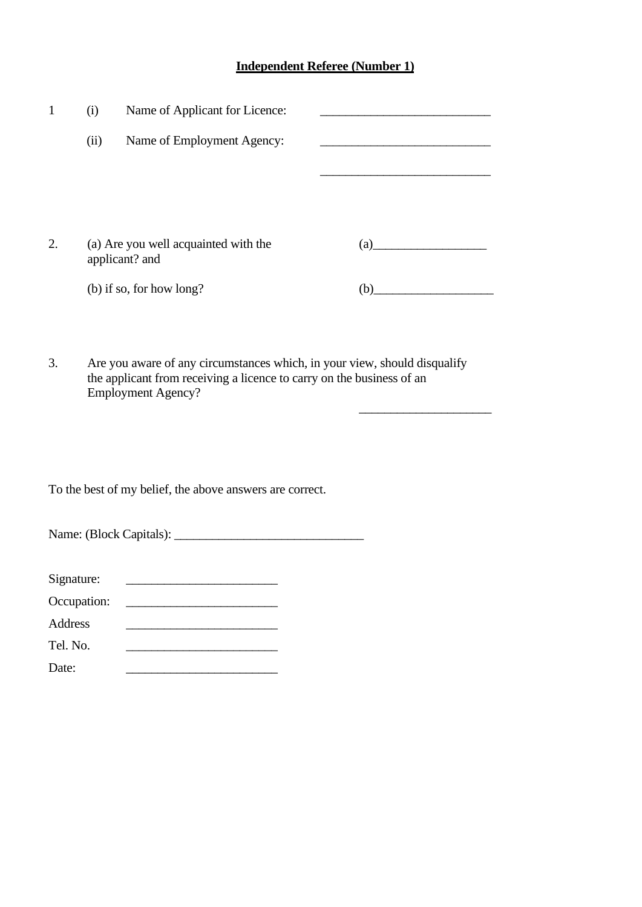## **Independent Referee (Number 1)**

\_\_\_\_\_\_\_\_\_\_\_\_\_\_\_\_\_\_\_\_\_

| 1  | (i)  | Name of Applicant for Licence:                         |     |
|----|------|--------------------------------------------------------|-----|
|    | (ii) | Name of Employment Agency:                             |     |
|    |      |                                                        |     |
|    |      |                                                        |     |
|    |      |                                                        |     |
| 2. |      | (a) Are you well acquainted with the<br>applicant? and | (a) |
|    |      | (b) if so, for how long?                               | (b) |
|    |      |                                                        |     |

3. Are you aware of any circumstances which, in your view, should disqualify the applicant from receiving a licence to carry on the business of an Employment Agency?

To the best of my belief, the above answers are correct.

Name: (Block Capitals): \_\_\_\_\_\_\_\_\_\_\_\_\_\_\_\_\_\_\_\_\_\_\_\_\_\_\_\_\_\_

| Signature:  |  |
|-------------|--|
| Occupation: |  |
| Address     |  |
| Tel. No.    |  |
| Date:       |  |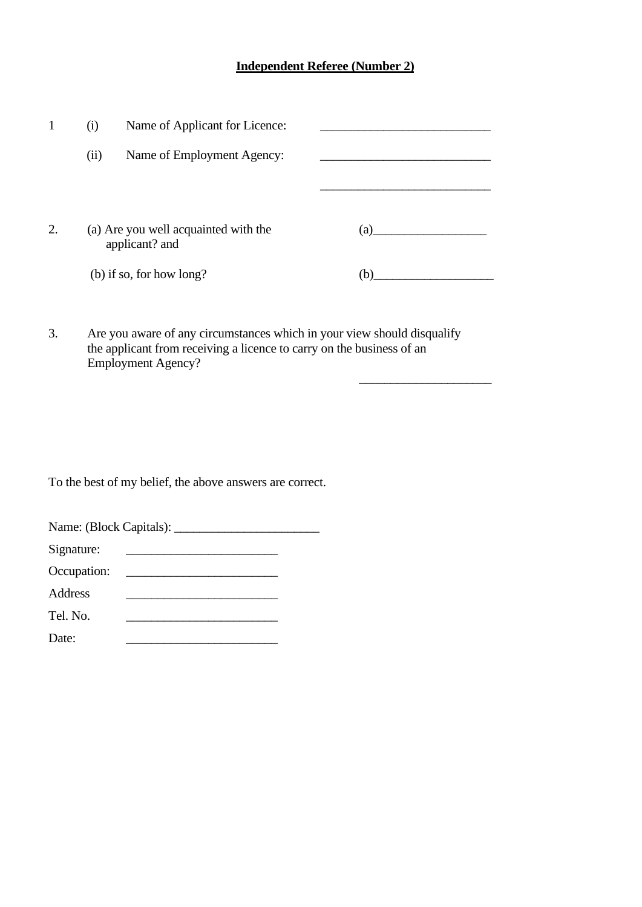# **Independent Referee (Number 2)**

 $\mathcal{L}_\text{max}$ 

| 1  | (i)  | Name of Applicant for Licence:                         |     |
|----|------|--------------------------------------------------------|-----|
|    | (ii) | Name of Employment Agency:                             |     |
|    |      |                                                        |     |
| 2. |      | (a) Are you well acquainted with the<br>applicant? and | (a) |
|    |      | (b) if so, for how long?                               | (b) |
|    |      |                                                        |     |

3. Are you aware of any circumstances which in your view should disqualify the applicant from receiving a licence to carry on the business of an Employment Agency?

To the best of my belief, the above answers are correct.

| Signature:  | the control of the control of the control of the control of the control of the control of |  |
|-------------|-------------------------------------------------------------------------------------------|--|
| Occupation: |                                                                                           |  |
| Address     |                                                                                           |  |
| Tel. No.    |                                                                                           |  |
| Date:       |                                                                                           |  |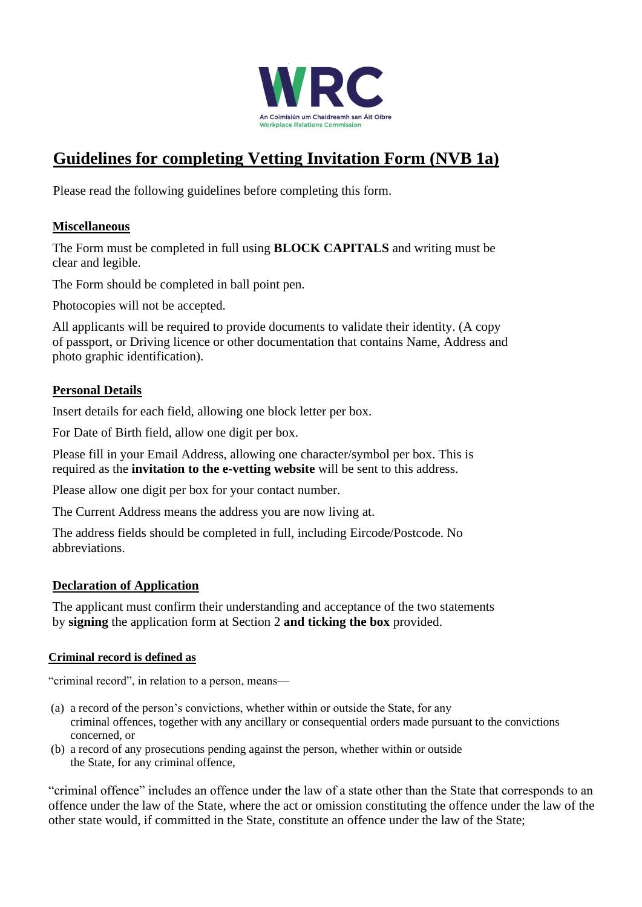

# **Guidelines for completing Vetting Invitation Form (NVB 1a)**

Please read the following guidelines before completing this form.

### **Miscellaneous**

The Form must be completed in full using **BLOCK CAPITALS** and writing must be clear and legible.

The Form should be completed in ball point pen.

Photocopies will not be accepted.

All applicants will be required to provide documents to validate their identity. (A copy of passport, or Driving licence or other documentation that contains Name, Address and photo graphic identification).

### **Personal Details**

Insert details for each field, allowing one block letter per box.

For Date of Birth field, allow one digit per box.

Please fill in your Email Address, allowing one character/symbol per box. This is required as the **invitation to the e-vetting website** will be sent to this address.

Please allow one digit per box for your contact number.

The Current Address means the address you are now living at.

The address fields should be completed in full, including Eircode/Postcode. No abbreviations.

### **Declaration of Application**

The applicant must confirm their understanding and acceptance of the two statements by **signing** the application form at Section 2 **and ticking the box** provided.

#### **Criminal record is defined as**

"criminal record", in relation to a person, means—

- (a) a record of the person's convictions, whether within or outside the State, for any criminal offences, together with any ancillary or consequential orders made pursuant to the convictions concerned, or
- (b) a record of any prosecutions pending against the person, whether within or outside the State, for any criminal offence,

"criminal offence" includes an offence under the law of a state other than the State that corresponds to an offence under the law of the State, where the act or omission constituting the offence under the law of the other state would, if committed in the State, constitute an offence under the law of the State;